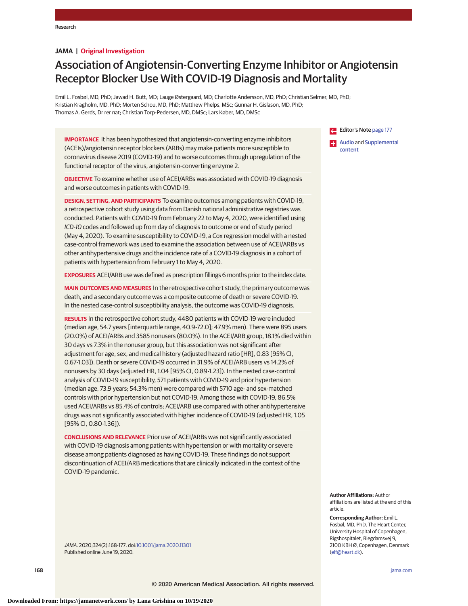## **JAMA | Original Investigation**

# Association of Angiotensin-Converting Enzyme Inhibitor or Angiotensin Receptor Blocker Use With COVID-19 Diagnosis and Mortality

Emil L. Fosbøl, MD, PhD; Jawad H. Butt, MD; Lauge Østergaard, MD; Charlotte Andersson, MD, PhD; Christian Selmer, MD, PhD; Kristian Kragholm, MD, PhD; Morten Schou, MD, PhD; Matthew Phelps, MSc; Gunnar H. Gislason, MD, PhD; Thomas A. Gerds, Dr rer nat; Christian Torp-Pedersen, MD, DMSc; Lars Køber, MD, DMSc

**IMPORTANCE** It has been hypothesized that angiotensin-converting enzyme inhibitors (ACEIs)/angiotensin receptor blockers (ARBs) may make patients more susceptible to coronavirus disease 2019 (COVID-19) and to worse outcomes through upregulation of the functional receptor of the virus, angiotensin-converting enzyme 2.

**OBJECTIVE** To examine whether use of ACEI/ARBs was associated with COVID-19 diagnosis and worse outcomes in patients with COVID-19.

**DESIGN, SETTING, AND PARTICIPANTS** To examine outcomes among patients with COVID-19, a retrospective cohort study using data from Danish national administrative registries was conducted. Patients with COVID-19 from February 22 to May 4, 2020, were identified using ICD-10 codes and followed up from day of diagnosis to outcome or end of study period (May 4, 2020). To examine susceptibility to COVID-19, a Cox regression model with a nested case-control framework was used to examine the association between use of ACEI/ARBs vs other antihypertensive drugs and the incidence rate of a COVID-19 diagnosis in a cohort of patients with hypertension from February 1 to May 4, 2020.

**EXPOSURES** ACEI/ARB use was defined as prescription fillings 6 months prior to the index date.

**MAIN OUTCOMES AND MEASURES** In the retrospective cohort study, the primary outcome was death, and a secondary outcome was a composite outcome of death or severe COVID-19. In the nested case-control susceptibility analysis, the outcome was COVID-19 diagnosis.

**RESULTS** In the retrospective cohort study, 4480 patients with COVID-19 were included (median age, 54.7 years [interquartile range, 40.9-72.0]; 47.9% men). There were 895 users (20.0%) of ACEI/ARBs and 3585 nonusers (80.0%). In the ACEI/ARB group, 18.1% died within 30 days vs 7.3% in the nonuser group, but this association was not significant after adjustment for age, sex, and medical history (adjusted hazard ratio [HR], 0.83 [95% CI, 0.67-1.03]). Death or severe COVID-19 occurred in 31.9% of ACEI/ARB users vs 14.2% of nonusers by 30 days (adjusted HR, 1.04 [95% CI, 0.89-1.23]). In the nested case-control analysis of COVID-19 susceptibility, 571 patients with COVID-19 and prior hypertension (median age, 73.9 years; 54.3% men) were compared with 5710 age- and sex-matched controls with prior hypertension but not COVID-19. Among those with COVID-19, 86.5% used ACEI/ARBs vs 85.4% of controls; ACEI/ARB use compared with other antihypertensive drugs was not significantly associated with higher incidence of COVID-19 (adjusted HR, 1.05 [95% CI, 0.80-1.36]).

**CONCLUSIONS AND RELEVANCE** Prior use of ACEI/ARBs was not significantly associated with COVID-19 diagnosis among patients with hypertension or with mortality or severe disease among patients diagnosed as having COVID-19. These findings do not support discontinuation of ACEI/ARB medications that are clinically indicated in the context of the COVID-19 pandemic.

JAMA. 2020;324(2):168-177. doi[:10.1001/jama.2020.11301](https://jamanetwork.com/journals/jama/fullarticle/10.1001/jama.2020.11301?utm_campaign=articlePDF%26utm_medium=articlePDFlink%26utm_source=articlePDF%26utm_content=jama.2020.11301) Published online June 19, 2020.

Editor's Note [page 177](https://jamanetwork.com/journals/jama/fullarticle/10.1001/jama.2020.11401?utm_campaign=articlePDF%26utm_medium=articlePDFlink%26utm_source=articlePDF%26utm_content=jama.2020.11301) **EXECUTE:** [Audio](https://jamanetwork.com/learning/audio-player/10.1001/jama.2020.4727?utm_campaign=articlePDF%26utm_medium=articlePDFlink%26utm_source=articlePDF%26utm_content=jama.2020.11301) and [Supplemental](https://jamanetwork.com/journals/jama/fullarticle/10.1001/jama.2020.11301?utm_campaign=articlePDF%26utm_medium=articlePDFlink%26utm_source=articlePDF%26utm_content=jama.2020.11301) [content](https://jamanetwork.com/journals/jama/fullarticle/10.1001/jama.2020.11301?utm_campaign=articlePDF%26utm_medium=articlePDFlink%26utm_source=articlePDF%26utm_content=jama.2020.11301)

**Author Affiliations:** Author affiliations are listed at the end of this article.

**Corresponding Author:** Emil L. Fosbøl, MD, PhD, The Heart Center, University Hospital of Copenhagen, Rigshospitalet, Blegdamsvej 9, 2100 KBH Ø, Copenhagen, Denmark [\(elf@heart.dk\)](mailto:elf@heart.dk).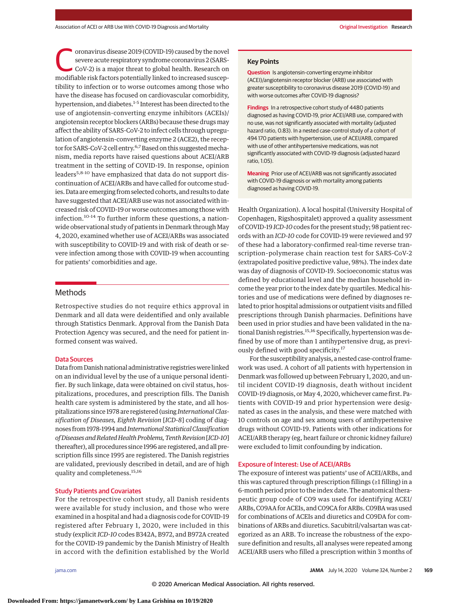oronavirus disease 2019 (COVID-19) caused by the novel<br>severe acute respiratory syndrome coronavirus 2 (SARS-CoV-2) is a major threat to global health. Research on<br>modifiable risk factors potentially linked to increased su severe acute respiratory syndrome coronavirus 2 (SARSmodifiable risk factors potentially linked to increased susceptibility to infection or to worse outcomes among those who have the disease has focused on cardiovascular comorbidity, hypertension, and diabetes.<sup>1-5</sup> Interest has been directed to the use of angiotensin-converting enzyme inhibitors (ACEIs)/ angiotensin receptor blockers (ARBs) because these drugsmay affect the ability of SARS-CoV-2 to infect cells through upregulation of angiotensin-converting enzyme 2 (ACE2), the receptor for SARS-CoV-2 cell entry.<sup>6,7</sup> Based on this suggested mechanism, media reports have raised questions about ACEI/ARB treatment in the setting of COVID-19. In response, opinion leaders<sup>5,8-10</sup> have emphasized that data do not support discontinuation of ACEI/ARBs and have called for outcome studies. Data are emerging from selected cohorts, and results to date have suggested that ACEI/ARB use was not associated with increased risk of COVID-19 or worse outcomes among those with infection.10-14 To further inform these questions, a nationwide observational study of patients in Denmark through May 4, 2020, examined whether use of ACEI/ARBs was associated with susceptibility to COVID-19 and with risk of death or severe infection among those with COVID-19 when accounting for patients' comorbidities and age.

# Methods

Retrospective studies do not require ethics approval in Denmark and all data were deidentified and only available through Statistics Denmark. Approval from the Danish Data Protection Agency was secured, and the need for patient informed consent was waived.

#### Data Sources

Data from Danish national administrative registries were linked on an individual level by the use of a unique personal identifier. By such linkage, data were obtained on civil status, hospitalizations, procedures, and prescription fills. The Danish health care system is administered by the state, and all hospitalizations since 1978 are registered (using *International Classification of Diseases, Eighth Revision* [*ICD-8*] coding of diagnoses from 1978-1994 and*International Statistical Classification of Diseases andRelated Health Problems, TenthRevision*[*ICD-10*] thereafter), all procedures since 1996 are registered, and all prescription fills since 1995 are registered. The Danish registries are validated, previously described in detail, and are of high quality and completeness.15,16

## Study Patients and Covariates

For the retrospective cohort study, all Danish residents were available for study inclusion, and those who were examined in a hospital and had a diagnosis code for COVID-19 registered after February 1, 2020, were included in this study (explicit*ICD-10* codes B342A, B972, and B972A created for the COVID-19 pandemic by the Danish Ministry of Health in accord with the definition established by the World

#### **Key Points**

**Question** Is angiotensin-converting enzyme inhibitor (ACEI)/angiotensin receptor blocker (ARB) use associated with greater susceptibility to coronavirus disease 2019 (COVID-19) and with worse outcomes after COVID-19 diagnosis?

**Findings** In a retrospective cohort study of 4480 patients diagnosed as having COVID-19, prior ACEI/ARB use, compared with no use, was not significantly associated with mortality (adjusted hazard ratio, 0.83). In a nested case-control study of a cohort of 494 170 patients with hypertension, use of ACEI/ARB, compared with use of other antihypertensive medications, was not significantly associated with COVID-19 diagnosis (adjusted hazard ratio, 1.05).

**Meaning** Prior use of ACEI/ARB was not significantly associated with COVID-19 diagnosis or with mortality among patients diagnosed as having COVID-19.

Health Organization). A local hospital (University Hospital of Copenhagen, Rigshospitalet) approved a quality assessment of COVID-19 *ICD-10*codes for the present study; 98 patient records with an *ICD-10* code for COVID-19 were reviewed and 97 of these had a laboratory-confirmed real-time reverse transcription–polymerase chain reaction test for SARS-CoV-2 (extrapolated positive predictive value, 98%). The index date was day of diagnosis of COVID-19. Socioeconomic status was defined by educational level and the median household income the year prior to the index date by quartiles. Medical histories and use of medications were defined by diagnoses related to prior hospital admissions or outpatient visits and filled prescriptions through Danish pharmacies. Definitions have been used in prior studies and have been validated in the national Danish registries.<sup>15,16</sup> Specifically, hypertension was defined by use of more than 1 antihypertensive drug, as previously defined with good specificity.<sup>17</sup>

For the susceptibility analysis, a nested case-control framework was used. A cohort of all patients with hypertension in Denmark was followed up between February 1, 2020, and until incident COVID-19 diagnosis, death without incident COVID-19 diagnosis, or May 4, 2020, whichever came first. Patients with COVID-19 and prior hypertension were designated as cases in the analysis, and these were matched with 10 controls on age and sex among users of antihypertensive drugs without COVID-19. Patients with other indications for ACEI/ARB therapy (eg, heart failure or chronic kidney failure) were excluded to limit confounding by indication.

#### Exposure of Interest: Use of ACEI/ARBs

The exposure of interest was patients' use of ACEI/ARBs, and this was captured through prescription fillings (≥1 filling) in a 6-month period prior to the index date. The anatomical therapeutic group code of C09 was used for identifying ACEI/ ARBs, C09AA for ACEIs, and C09CA for ARBs. C09BA was used for combinations of ACEIs and diuretics and C09DA for combinations of ARBs and diuretics. Sacubitril/valsartan was categorized as an ARB. To increase the robustness of the exposure definition and results, all analyses were repeated among ACEI/ARB users who filled a prescription within 3 months of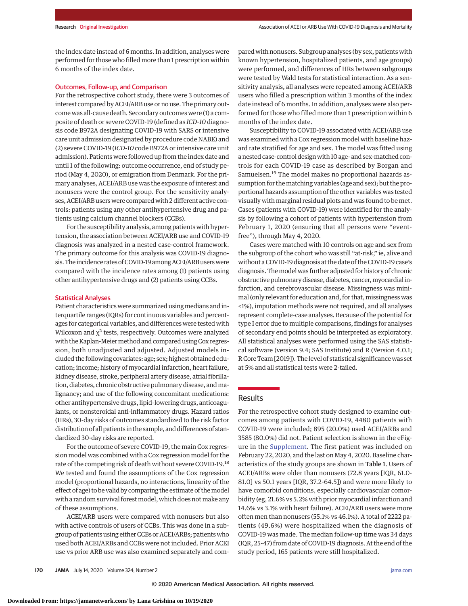the index date instead of 6 months. In addition, analyses were performed for those who filledmore than 1 prescription within 6 months of the index date.

## Outcomes, Follow-up, and Comparison

For the retrospective cohort study, there were 3 outcomes of interest compared by ACEI/ARB use or no use. The primary outcome was all-cause death. Secondary outcomes were (1) a composite of death or severe COVID-19 (defined as *ICD-10* diagnosis code B972A designating COVID-19 with SARS or intensive care unit admission designated by procedure code NABE) and (2) severe COVID-19 (*ICD-10*code B972A or intensive care unit admission). Patients were followed up from the index date and until 1 of the following: outcome occurrence, end of study period (May 4, 2020), or emigration from Denmark. For the primary analyses, ACEI/ARB use was the exposure of interest and nonusers were the control group. For the sensitivity analyses, ACEI/ARB users were compared with 2 different active controls: patients using any other antihypertensive drug and patients using calcium channel blockers (CCBs).

For the susceptibility analysis, among patients with hypertension, the association between ACEI/ARB use and COVID-19 diagnosis was analyzed in a nested case-control framework. The primary outcome for this analysis was COVID-19 diagnosis. The incidence rates of COVID-19 among ACEI/ARB users were compared with the incidence rates among (1) patients using other antihypertensive drugs and (2) patients using CCBs.

# Statistical Analyses

Patient characteristics were summarized using medians and interquartile ranges (IQRs) for continuous variables and percentages for categorical variables, and differences were tested with Wilcoxon and  $\chi^2$  tests, respectively. Outcomes were analyzed with the Kaplan-Meier method and compared using Cox regression, both unadjusted and adjusted. Adjusted models included the following covariates: age; sex; highest obtained education; income; history of myocardial infarction, heart failure, kidney disease, stroke, peripheral artery disease, atrial fibrillation, diabetes, chronic obstructive pulmonary disease, andmalignancy; and use of the following concomitant medications: other antihypertensive drugs, lipid-lowering drugs, anticoagulants, or nonsteroidal anti-inflammatory drugs. Hazard ratios (HRs), 30-day risks of outcomes standardized to the risk factor distribution of all patients in the sample, and differences of standardized 30-day risks are reported.

For the outcome of severe COVID-19, the main Cox regression model was combined with a Cox regression model for the rate of the competing risk of death without severe COVID-19.18 We tested and found the assumptions of the Cox regression model (proportional hazards, no interactions, linearity of the effect of age) to be valid by comparing the estimate of themodel with a random survival forest model, which does not make any of these assumptions.

ACEI/ARB users were compared with nonusers but also with active controls of users of CCBs. This was done in a subgroup of patients using either CCBs or ACEI/ARBs; patients who used both ACEI/ARBs and CCBs were not included. Prior ACEI use vs prior ARB use was also examined separately and compared with nonusers. Subgroup analyses (by sex, patients with known hypertension, hospitalized patients, and age groups) were performed, and differences of HRs between subgroups were tested by Wald tests for statistical interaction. As a sensitivity analysis, all analyses were repeated among ACEI/ARB users who filled a prescription within 3 months of the index date instead of 6 months. In addition, analyses were also performed for those who filled more than 1 prescription within 6 months of the index date.

Susceptibility to COVID-19 associated with ACEI/ARB use was examined with a Cox regression model with baseline hazard rate stratified for age and sex. The model was fitted using a nested case-control design with 10 age- and sex-matched controls for each COVID-19 case as described by Borgan and Samuelsen.19 The model makes no proportional hazards assumption for thematching variables (age and sex); but the proportional hazards assumption of the other variables was tested visually with marginal residual plots and was found to be met. Cases (patients with COVID-19) were identified for the analysis by following a cohort of patients with hypertension from February 1, 2020 (ensuring that all persons were "eventfree"), through May 4, 2020.

Cases were matched with 10 controls on age and sex from the subgroup of the cohort who was still "at-risk," ie, alive and without a COVID-19 diagnosis at the date of the COVID-19 case's diagnosis. The model was further adjusted for history of chronic obstructive pulmonary disease, diabetes, cancer,myocardial infarction, and cerebrovascular disease. Missingness was minimal (only relevant for education and, for that, missingness was <1%), imputation methods were not required, and all analyses represent complete-case analyses. Because of the potential for type I error due to multiple comparisons, findings for analyses of secondary end points should be interpreted as exploratory. All statistical analyses were performed using the SAS statistical software (version 9.4; SAS Institute) and R (Version 4.0.1; R Core Team [2019]). The level of statistical significance was set at 5% and all statistical tests were 2-tailed.

# Results

For the retrospective cohort study designed to examine outcomes among patients with COVID-19, 4480 patients with COVID-19 were included; 895 (20.0%) used ACEI/ARBs and 3585 (80.0%) did not. Patient selection is shown in the eFigure in the [Supplement.](https://jamanetwork.com/journals/jama/fullarticle/10.1001/jama.2020.11301?utm_campaign=articlePDF%26utm_medium=articlePDFlink%26utm_source=articlePDF%26utm_content=jama.2020.11301) The first patient was included on February 22, 2020, and the last on May 4, 2020. Baseline characteristics of the study groups are shown in Table 1. Users of ACEI/ARBs were older than nonusers (72.8 years [IQR, 61.0- 81.0] vs 50.1 years [IQR, 37.2-64.5]) and were more likely to have comorbid conditions, especially cardiovascular comorbidity (eg, 21.6% vs 5.2% with prior myocardial infarction and 14.6% vs 3.1% with heart failure). ACEI/ARB users were more often men than nonusers (55.1% vs 46.1%). A total of 2222 patients (49.6%) were hospitalized when the diagnosis of COVID-19 was made. The median follow-up time was 34 days (IQR, 25-47) from date of COVID-19 diagnosis. At the end of the study period, 165 patients were still hospitalized.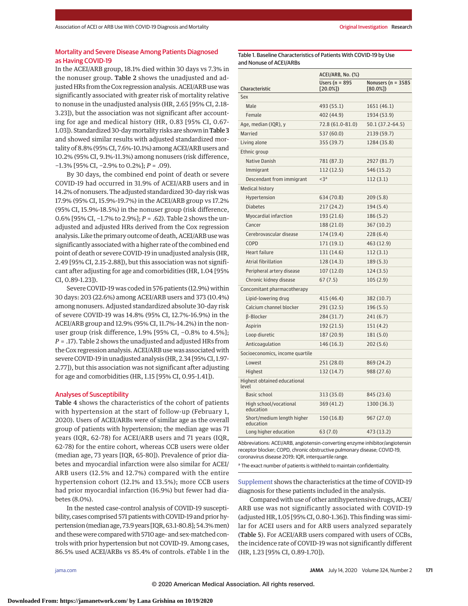# Mortality and Severe Disease Among Patients Diagnosed as Having COVID-19

In the ACEI/ARB group, 18.1% died within 30 days vs 7.3% in the nonuser group. Table 2 shows the unadjusted and adjusted HRs from the Cox regression analysis. ACEI/ARB use was significantly associated with greater risk of mortality relative to nonuse in the unadjusted analysis (HR, 2.65 [95% CI, 2.18- 3.23]), but the association was not significant after accounting for age and medical history (HR, 0.83 [95% CI, 0.67- 1.03]). Standardized 30-day mortality risks are shown in Table 3 and showed similar results with adjusted standardized mortality of 8.8% (95% CI, 7.6%-10.1%) among ACEI/ARB users and 10.2% (95% CI, 9.1%-11.3%) among nonusers (risk difference, −1.3% [95% CI, −2.9% to 0.2%]; *P* = .09).

By 30 days, the combined end point of death or severe COVID-19 had occurred in 31.9% of ACEI/ARB users and in 14.2% of nonusers. The adjusted standardized 30-day risk was 17.9% (95% CI, 15.9%-19.7%) in the ACEI/ARB group vs 17.2% (95% CI, 15.9%-18.5%) in the nonuser group (risk difference, 0.6% [95% CI, −1.7% to 2.9%]; *P* = .62). Table 2 shows the unadjusted and adjusted HRs derived from the Cox regression analysis. Like the primary outcome of death, ACEI/ARB use was significantly associated with a higher rate of the combined end point of death or severe COVID-19 in unadjusted analysis (HR, 2.49 [95% CI, 2.15-2.88]), but this association was not significant after adjusting for age and comorbidities (HR, 1.04 [95% CI, 0.89-1.23]).

Severe COVID-19 was coded in 576 patients (12.9%) within 30 days: 203 (22.6%) among ACEI/ARB users and 373 (10.4%) among nonusers. Adjusted standardized absolute 30-day risk of severe COVID-19 was 14.8% (95% CI, 12.7%-16.9%) in the ACEI/ARB group and 12.9% (95% CI, 11.7%-14.2%) in the nonuser group (risk difference, 1.9% [95% CI, −0.8% to 4.5%]; *P* = .17). Table 2 shows the unadjusted and adjusted HRs from the Cox regression analysis. ACEI/ARB use was associated with severe COVID-19 in unadjusted analysis (HR, 2.34 [95% CI, 1.97- 2.77]), but this association was not significant after adjusting for age and comorbidities (HR, 1.15 [95% CI, 0.95-1.41]).

#### Analyses of Susceptibility

Table 4 shows the characteristics of the cohort of patients with hypertension at the start of follow-up (February 1, 2020). Users of ACEI/ARBs were of similar age as the overall group of patients with hypertension; the median age was 71 years (IQR, 62-78) for ACEI/ARB users and 71 years (IQR, 62-78) for the entire cohort, whereas CCB users were older (median age, 73 years [IQR, 65-80]). Prevalence of prior diabetes and myocardial infarction were also similar for ACEI/ ARB users (12.5% and 12.7%) compared with the entire hypertension cohort (12.1% and 13.5%); more CCB users had prior myocardial infarction (16.9%) but fewer had diabetes (8.0%).

In the nested case-control analysis of COVID-19 susceptibility, cases comprised 571 patients with COVID-19 and prior hypertension (median age, 73.9 years [IQR, 63.1-80.8]; 54.3%men) and these were compared with 5710 age- and sex-matched controls with prior hypertension but not COVID-19. Among cases, 86.5% used ACEI/ARBs vs 85.4% of controls. eTable 1 in the

Table 1. Baseline Characteristics of Patients With COVID-19 by Use and Nonuse of ACEI/ARBs

|                                         | ACEI/ARB, No. (%)               |                                     |  |  |  |
|-----------------------------------------|---------------------------------|-------------------------------------|--|--|--|
| Characteristic                          | Users ( $n = 895$<br>$[20.0\%]$ | Nonusers ( $n = 3585$<br>$[80.0\%]$ |  |  |  |
| Sex                                     |                                 |                                     |  |  |  |
| Male                                    | 493 (55.1)                      | 1651 (46.1)                         |  |  |  |
| Female                                  | 402 (44.9)                      | 1934 (53.9)                         |  |  |  |
| Age, median (IQR), y                    | 72.8 (61.0-81.0)                | 50.1 (37.2-64.5)                    |  |  |  |
| Married                                 | 537 (60.0)                      | 2139 (59.7)                         |  |  |  |
| Living alone                            | 355 (39.7)                      | 1284 (35.8)                         |  |  |  |
| Ethnic group                            |                                 |                                     |  |  |  |
| <b>Native Danish</b>                    | 781 (87.3)                      | 2927 (81.7)                         |  |  |  |
| Immigrant                               | 112 (12.5)                      | 546 (15.2)                          |  |  |  |
| Descendant from immigrant               | $<$ 3a                          | 112(3.1)                            |  |  |  |
| Medical history                         |                                 |                                     |  |  |  |
| Hypertension                            | 634 (70.8)                      | 209(5.8)                            |  |  |  |
| <b>Diabetes</b>                         | 217 (24.2)                      | 194 (5.4)                           |  |  |  |
| Myocardial infarction                   | 193 (21.6)                      | 186 (5.2)                           |  |  |  |
| Cancer                                  | 188 (21.0)                      | 367 (10.2)                          |  |  |  |
| Cerebrovascular disease                 | 174 (19.4)                      | 228(6.4)                            |  |  |  |
| COPD                                    | 171 (19.1)                      | 463 (12.9)                          |  |  |  |
| <b>Heart failure</b>                    | 131 (14.6)                      | 112(3.1)                            |  |  |  |
| Atrial fibrillation                     | 128 (14.3)                      | 189 (5.3)                           |  |  |  |
| Peripheral artery disease               | 107 (12.0)                      | 124(3.5)                            |  |  |  |
| Chronic kidney disease                  | 67(7.5)                         | 105 (2.9)                           |  |  |  |
| Concomitant pharmacotherapy             |                                 |                                     |  |  |  |
| Lipid-lowering drug                     | 415 (46.4)                      | 382 (10.7)                          |  |  |  |
| Calcium channel blocker                 | 291 (32.5)                      | 196 (5.5)                           |  |  |  |
| <b>B-Blocker</b>                        | 284 (31.7)                      | 241 (6.7)                           |  |  |  |
| Aspirin                                 | 192 (21.5)                      | 151 (4.2)                           |  |  |  |
| Loop diuretic                           | 187 (20.9)                      | 181 (5.0)                           |  |  |  |
| Anticoagulation                         | 146 (16.3)                      | 202(5.6)                            |  |  |  |
| Socioeconomics, income quartile         |                                 |                                     |  |  |  |
| Lowest                                  | 251 (28.0)                      | 869 (24.2)                          |  |  |  |
| Highest                                 | 132 (14.7)                      | 988 (27.6)                          |  |  |  |
| Highest obtained educational<br>level   |                                 |                                     |  |  |  |
| <b>Basic school</b>                     | 313 (35.0)                      | 845 (23.6)                          |  |  |  |
| High school/vocational<br>education     | 369 (41.2)                      | 1300 (36.3)                         |  |  |  |
| Short/medium length higher<br>education | 150 (16.8)                      | 967 (27.0)                          |  |  |  |
| Long higher education                   | 63(7.0)                         | 473 (13.2)                          |  |  |  |

Abbreviations: ACEI/ARB, angiotensin-converting enzyme inhibitor/angiotensin receptor blocker; COPD, chronic obstructive pulmonary disease; COVID-19, coronavirus disease 2019; IQR, interquartile range.

<sup>a</sup> The exact number of patients is withheld to maintain confidentiality.

[Supplement](https://jamanetwork.com/journals/jama/fullarticle/10.1001/jama.2020.11301?utm_campaign=articlePDF%26utm_medium=articlePDFlink%26utm_source=articlePDF%26utm_content=jama.2020.11301) shows the characteristics at the time of COVID-19 diagnosis for these patients included in the analysis.

Compared with use of other antihypertensive drugs, ACEI/ ARB use was not significantly associated with COVID-19 (adjusted HR, 1.05 [95% CI, 0.80-1.36]). This finding was similar for ACEI users and for ARB users analyzed separately (Table 5). For ACEI/ARB users compared with users of CCBs, the incidence rate of COVID-19 was not significantly different (HR, 1.23 [95% CI, 0.89-1.70]).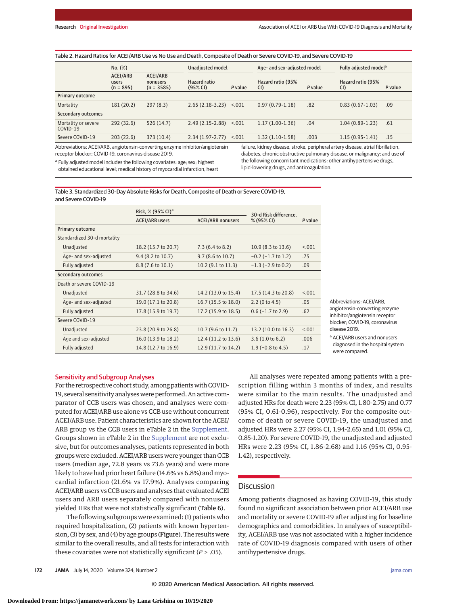| Table 2. Hazard Ratios for ACEI/ARB Use vs No Use and Death, Composite of Death or Severe COVID-19, and Severe COVID-19 |                                         |                                      |                                 |         |                             |         |                                   |         |
|-------------------------------------------------------------------------------------------------------------------------|-----------------------------------------|--------------------------------------|---------------------------------|---------|-----------------------------|---------|-----------------------------------|---------|
|                                                                                                                         | $No.$ $(\%)$                            |                                      | Unadjusted model                |         | Age- and sex-adjusted model |         | Fully adjusted model <sup>a</sup> |         |
|                                                                                                                         | <b>ACEI/ARB</b><br>users<br>$(n = 895)$ | ACEI/ARB<br>nonusers<br>$(n = 3585)$ | <b>Hazard ratio</b><br>(95% CI) | P value | Hazard ratio (95%<br>CI)    | P value | Hazard ratio (95%<br>CI)          | P value |
| Primary outcome                                                                                                         |                                         |                                      |                                 |         |                             |         |                                   |         |
| Mortality                                                                                                               | 181 (20.2)                              | 297(8.3)                             | $2.65(2.18-3.23)$               | < 0.001 | $0.97(0.79-1.18)$           | .82     | $0.83(0.67 - 1.03)$               | .09     |
| Secondary outcomes                                                                                                      |                                         |                                      |                                 |         |                             |         |                                   |         |
| Mortality or severe<br>COVID-19                                                                                         | 292(32.6)                               | 526(14.7)                            | $2.49(2.15-2.88)$               | < 0.001 | $1.17(1.00-1.36)$           | .04     | $1.04(0.89-1.23)$                 | .61     |
| Severe COVID-19                                                                                                         | 203(22.6)                               | 373 (10.4)                           | $2.34(1.97 - 2.77)$             | < .001  | $1.32(1.10-1.58)$           | .003    | $1.15(0.95 - 1.41)$               | .15     |

Abbreviations: ACEI/ARB, angiotensin-converting enzyme inhibitor/angiotensin receptor blocker; COVID-19, coronavirus disease 2019.

<sup>a</sup> Fullv adjusted model includes the following covariates: age; sex; highest obtained educational level; medical history of myocardial infarction, heart failure, kidney disease, stroke, peripheral artery disease, atrial fibrillation, diabetes, chronic obstructive pulmonary disease, or malignancy; and use of the following concomitant medications: other antihypertensive drugs, lipid-lowering drugs, and anticoagulation.

Table 3. Standardized 30-Day Absolute Risks for Death, Composite of Death or Severe COVID-19, and Severe COVID-19

|                             | Risk, % (95% CI) <sup>a</sup> | 30-d Risk difference.      |                         |         |
|-----------------------------|-------------------------------|----------------------------|-------------------------|---------|
|                             | <b>ACEI/ARB users</b>         | <b>ACEI/ARB nonusers</b>   | % (95% CI)              | P value |
| <b>Primary outcome</b>      |                               |                            |                         |         |
| Standardized 30-d mortality |                               |                            |                         |         |
| Unadjusted                  | 18.2 (15.7 to 20.7)           | $7.3(6.4 \text{ to } 8.2)$ | 10.9 (8.3 to 13.6)      | < .001  |
| Age- and sex-adjusted       | $9.4(8.2 \text{ to } 10.7)$   | 9.7 (8.6 to 10.7)          | $-0.2$ ( $-1.7$ to 1.2) | .75     |
| Fully adjusted              | 8.8 (7.6 to 10.1)             | 10.2 (9.1 to 11.3)         | $-1.3$ ( $-2.9$ to 0.2) | .09     |
| Secondary outcomes          |                               |                            |                         |         |
| Death or severe COVID-19    |                               |                            |                         |         |
| Unadjusted                  | 31.7 (28.8 to 34.6)           | 14.2 (13.0 to 15.4)        | 17.5 (14.3 to 20.8)     | < 0.001 |
| Age- and sex-adjusted       | 19.0 (17.1 to 20.8)           | 16.7 (15.5 to 18.0)        | $2.2$ (0 to 4.5)        | .05     |
| Fully adjusted              | 17.8 (15.9 to 19.7)           | 17.2 (15.9 to 18.5)        | $0.6$ ( $-1.7$ to 2.9)  | .62     |
| Severe COVID-19             |                               |                            |                         |         |
| Unadjusted                  | 23.8 (20.9 to 26.8)           | 10.7 (9.6 to 11.7)         | 13.2 (10.0 to 16.3)     | < 0.001 |
| Age and sex-adjusted        | 16.0 (13.9 to 18.2)           | 12.4 (11.2 to 13.6)        | 3.6(1.0 to 6.2)         | .006    |
| Fully adjusted              | 14.8 (12.7 to 16.9)           | 12.9 (11.7 to 14.2)        | $1.9$ (-0.8 to 4.5)     | .17     |

Abbreviations: ACEI/ARB, angiotensin-converting enzyme inhibitor/angiotensin receptor blocker; COVID-19, coronavirus disease 2019.

a ACEI/ARB users and nonusers diagnosed in the hospital system were compared.

## Sensitivity and Subgroup Analyses

For the retrospective cohort study, among patients with COVID-19, several sensitivity analyses were performed. An active comparator of CCB users was chosen, and analyses were computed for ACEI/ARB use alone vs CCB use without concurrent ACEI/ARB use. Patient characteristics are shown for the ACEI/ ARB group vs the CCB users in eTable 2 in the [Supplement.](https://jamanetwork.com/journals/jama/fullarticle/10.1001/jama.2020.11301?utm_campaign=articlePDF%26utm_medium=articlePDFlink%26utm_source=articlePDF%26utm_content=jama.2020.11301) Groups shown in eTable 2 in the [Supplement](https://jamanetwork.com/journals/jama/fullarticle/10.1001/jama.2020.11301?utm_campaign=articlePDF%26utm_medium=articlePDFlink%26utm_source=articlePDF%26utm_content=jama.2020.11301) are not exclusive, but for outcomes analyses, patients represented in both groups were excluded. ACEI/ARB users were younger than CCB users (median age, 72.8 years vs 73.6 years) and were more likely to have had prior heart failure (14.6% vs 6.8%) and myocardial infarction (21.6% vs 17.9%). Analyses comparing ACEI/ARB users vs CCB users and analyses that evaluated ACEI users and ARB users separately compared with nonusers yielded HRs that were not statistically significant (Table 6).

The following subgroups were examined: (1) patients who required hospitalization, (2) patients with known hypertension, (3) by sex, and (4) by age groups (Figure). The results were similar to the overall results, and all tests for interaction with these covariates were not statistically significant (*P* > .05).

All analyses were repeated among patients with a prescription filling within 3 months of index, and results were similar to the main results. The unadjusted and adjusted HRs for death were 2.23 (95% CI, 1.80-2.75) and 0.77 (95% CI, 0.61-0.96), respectively. For the composite outcome of death or severe COVID-19, the unadjusted and adjusted HRs were 2.27 (95% CI, 1.94-2.65) and 1.01 (95% CI, 0.85-1.20). For severe COVID-19, the unadjusted and adjusted HRs were 2.23 (95% CI, 1.86-2.68) and 1.16 (95% CI, 0.95- 1.42), respectively.

# **Discussion**

Among patients diagnosed as having COVID-19, this study found no significant association between prior ACEI/ARB use and mortality or severe COVID-19 after adjusting for baseline demographics and comorbidities. In analyses of susceptibility, ACEI/ARB use was not associated with a higher incidence rate of COVID-19 diagnosis compared with users of other antihypertensive drugs.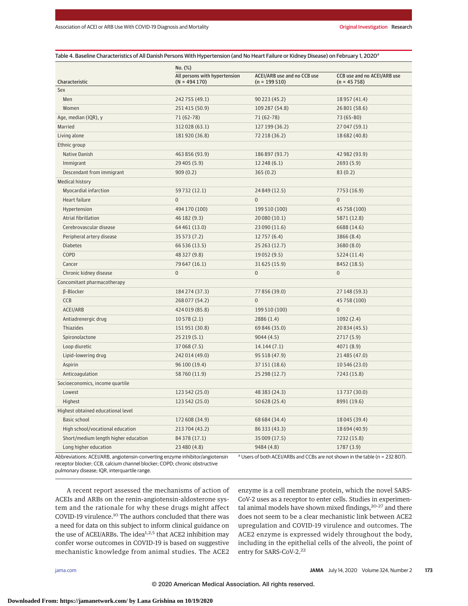|                                      | No. (%)                                          |                                               |                                              |  |  |  |  |
|--------------------------------------|--------------------------------------------------|-----------------------------------------------|----------------------------------------------|--|--|--|--|
| Characteristic                       | All persons with hypertension<br>$(N = 494 170)$ | ACEI/ARB use and no CCB use<br>$(n = 199510)$ | CCB use and no ACEI/ARB use<br>$(n = 45758)$ |  |  |  |  |
| Sex                                  |                                                  |                                               |                                              |  |  |  |  |
| Men                                  | 242 755 (49.1)                                   | 90 223 (45.2)                                 | 18 957 (41.4)                                |  |  |  |  |
| Women                                | 251415 (50.9)                                    | 109 287 (54.8)                                | 26 801 (58.6)                                |  |  |  |  |
| Age, median (IQR), y                 | 71 (62-78)                                       | 71 (62-78)                                    | 73 (65-80)                                   |  |  |  |  |
| Married                              | 312028 (63.1)                                    | 127 199 (36.2)                                | 27 047 (59.1)                                |  |  |  |  |
| Living alone                         | 181920 (36.8)                                    | 72 218 (36.2)                                 | 18 682 (40.8)                                |  |  |  |  |
| Ethnic group                         |                                                  |                                               |                                              |  |  |  |  |
| Native Danish                        | 463 856 (93.9)                                   | 186 897 (93.7)                                | 42 982 (93.9)                                |  |  |  |  |
| Immigrant                            | 29 405 (5.9)                                     | 12248(6.1)                                    | 2693(5.9)                                    |  |  |  |  |
| Descendant from immigrant            | 909(0.2)                                         | 365(0.2)                                      | 83 (0.2)                                     |  |  |  |  |
| <b>Medical history</b>               |                                                  |                                               |                                              |  |  |  |  |
| Myocardial infarction                | 59 732 (12.1)                                    | 24 849 (12.5)                                 | 7753 (16.9)                                  |  |  |  |  |
| Heart failure                        | $\pmb{0}$                                        | $\boldsymbol{0}$                              | $\mathbf 0$                                  |  |  |  |  |
| Hypertension                         | 494 170 (100)                                    | 199 510 (100)                                 | 45 758 (100)                                 |  |  |  |  |
| Atrial fibrillation                  | 46 182 (9.3)                                     | 20 080 (10.1)                                 | 5871 (12.8)                                  |  |  |  |  |
| Cerebrovascular disease              | 64 461 (13.0)                                    | 23 090 (11.6)                                 | 6688 (14.6)                                  |  |  |  |  |
| Peripheral artery disease            | 35 573 (7.2)                                     | 12 757 (6.4)                                  | 3866 (8.4)                                   |  |  |  |  |
| <b>Diabetes</b>                      | 66 536 (13.5)                                    | 25 263 (12.7)                                 | 3680(8.0)                                    |  |  |  |  |
| COPD                                 | 48 327 (9.8)                                     | 19 052 (9.5)                                  | 5224 (11.4)                                  |  |  |  |  |
| Cancer                               | 79 647 (16.1)                                    | 31 625 (15.9)                                 | 8452 (18.5)                                  |  |  |  |  |
| Chronic kidney disease               | $\pmb{0}$                                        | $\boldsymbol{0}$                              | $\mathbf 0$                                  |  |  |  |  |
| Concomitant pharmacotherapy          |                                                  |                                               |                                              |  |  |  |  |
| β-Blocker                            | 184 274 (37.3)                                   | 77 856 (39.0)                                 | 27 148 (59.3)                                |  |  |  |  |
| CCB                                  | 268 077 (54.2)                                   | $\mathbf 0$                                   | 45 758 (100)                                 |  |  |  |  |
| ACEI/ARB                             | 424019 (85.8)                                    | 199 510 (100)                                 | $\mathbf 0$                                  |  |  |  |  |
| Antiadrenergic drug                  | 10578(2.1)                                       | 2886(1.4)                                     | 1092(2.4)                                    |  |  |  |  |
| Thiazides                            | 151951 (30.8)                                    | 69 846 (35.0)                                 | 20 834 (45.5)                                |  |  |  |  |
| Spironolactone                       | 25219(5.1)                                       | 9044(4.5)                                     | 2717 (5.9)                                   |  |  |  |  |
| Loop diuretic                        | 37 068 (7.5)                                     | 14.144(7.1)                                   | 4071 (8.9)                                   |  |  |  |  |
| Lipid-lowering drug                  | 242 014 (49.0)                                   | 95 518 (47.9)                                 | 21 485 (47.0)                                |  |  |  |  |
| Aspirin                              | 96 100 (19.4)                                    | 37 151 (18.6)                                 | 10 546 (23.0)                                |  |  |  |  |
| Anticoagulation                      | 58 760 (11.9)                                    | 25 298 (12.7)                                 | 7243 (15.8)                                  |  |  |  |  |
| Socioeconomics, income quartile      |                                                  |                                               |                                              |  |  |  |  |
| Lowest                               | 123 542 (25.0)                                   | 48 383 (24.3)                                 | 13737 (30.0)                                 |  |  |  |  |
| Highest                              | 123 542 (25.0)                                   | 50 628 (25.4)                                 | 8991 (19.6)                                  |  |  |  |  |
| Highest obtained educational level   |                                                  |                                               |                                              |  |  |  |  |
| Basic school                         | 172 608 (34.9)                                   | 68 684 (34.4)                                 | 18 045 (39.4)                                |  |  |  |  |
| High school/vocational education     | 213 704 (43.2)                                   | 86 333 (43.3)                                 | 18 694 (40.9)                                |  |  |  |  |
| Short/medium length higher education | 84 378 (17.1)                                    | 35 009 (17.5)                                 | 7232 (15.8)                                  |  |  |  |  |
| Long higher education                | 23 480 (4.8)                                     | 9484 (4.8)                                    | 1787(3.9)                                    |  |  |  |  |

Abbreviations: ACEI/ARB, angiotensin-converting enzyme inhibitor/angiotensin receptor blocker; CCB, calcium channel blocker; COPD; chronic obstructive pulmonary disease; IQR, interquartile range.

<sup>a</sup> Users of both ACEI/ARBs and CCBs are not shown in the table (n = 232 807).

A recent report assessed the mechanisms of action of ACEIs and ARBs on the renin-angiotensin-aldosterone system and the rationale for why these drugs might affect COVID-19 virulence.10 The authors concluded that there was a need for data on this subject to inform clinical guidance on the use of ACEI/ARBs. The idea<sup>1,2,5</sup> that ACE2 inhibition may confer worse outcomes in COVID-19 is based on suggestive mechanistic knowledge from animal studies. The ACE2

enzyme is a cell membrane protein, which the novel SARS-CoV-2 uses as a receptor to enter cells. Studies in experimental animal models have shown mixed findings,<sup>20-27</sup> and there does not seem to be a clear mechanistic link between ACE2 upregulation and COVID-19 virulence and outcomes. The ACE2 enzyme is expressed widely throughout the body, including in the epithelial cells of the alveoli, the point of entry for SARS-CoV-2.<sup>22</sup>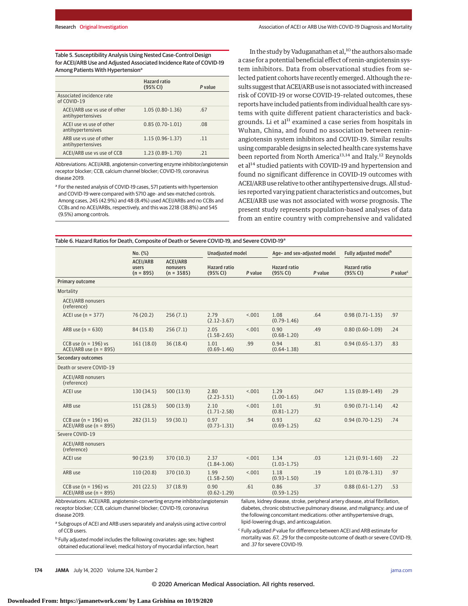Table 5. Susceptibility Analysis Using Nested Case-Control Design for ACEI/ARB Use and Adjusted Associated Incidence Rate of COVID-19 Among Patients With Hypertension<sup>a</sup>

|                                                   | <b>Hazard ratio</b><br>(95% CI) | P value |
|---------------------------------------------------|---------------------------------|---------|
| Associated incidence rate<br>of COVID-19          |                                 |         |
| ACEI/ARB use vs use of other<br>antihypertensives | $1.05(0.80-1.36)$               | 67      |
| ACEI use vs use of other<br>antihypertensives     | $0.85(0.70-1.01)$               | .08     |
| ARB use vs use of other<br>antihypertensives      | $1.15(0.96 - 1.37)$             | 11      |
| ACEI/ARB use vs use of CCB                        | $1.23(0.89-1.70)$               | -21     |

Abbreviations: ACEI/ARB, angiotensin-converting enzyme inhibitor/angiotensin receptor blocker; CCB, calcium channel blocker; COVID-19, coronavirus disease 2019.

<sup>a</sup> For the nested analysis of COVID-19 cases, 571 patients with hypertension and COVID-19 were compared with 5710 age- and sex-matched controls. Among cases, 245 (42.9%) and 48 (8.4%) used ACEI/ARBs and no CCBs and CCBs and no ACEI/ARBs, respectively, and this was 2218 (38.8%) and 545 (9.5%) among controls.

In the study by Vaduganathan et al,<sup>10</sup> the authors also made a case for a potential beneficial effect of renin-angiotensin system inhibitors. Data from observational studies from selected patient cohorts have recently emerged. Although the results suggest that ACEI/ARB use is not associated with increased risk of COVID-19 or worse COVID-19–related outcomes, these reports have included patients from individual health care systems with quite different patient characteristics and backgrounds. Li et al<sup>11</sup> examined a case series from hospitals in Wuhan, China, and found no association between reninangiotensin system inhibitors and COVID-19. Similar results using comparable designs in selected health care systems have been reported from North America<sup>13,14</sup> and Italy.<sup>12</sup> Reynolds et al<sup>14</sup> studied patients with COVID-19 and hypertension and found no significant difference in COVID-19 outcomes with ACEI/ARB use relative to other antihypertensive drugs. All studies reported varying patient characteristics and outcomes, but ACEI/ARB use was not associated with worse prognosis. The present study represents population-based analyses of data from an entire country with comprehensive and validated

Table 6. Hazard Ratios for Death, Composite of Death or Severe COVID-19, and Severe COVID-19<sup>a</sup>

|                                                                                                                                                                        | No. (%)                                 |                                             | Unadjusted model                                                                                                                   |         | Age- and sex-adjusted model     |         | Fully adjusted model <sup>b</sup>                                                                                                                                                                                                       |                        |
|------------------------------------------------------------------------------------------------------------------------------------------------------------------------|-----------------------------------------|---------------------------------------------|------------------------------------------------------------------------------------------------------------------------------------|---------|---------------------------------|---------|-----------------------------------------------------------------------------------------------------------------------------------------------------------------------------------------------------------------------------------------|------------------------|
|                                                                                                                                                                        | <b>ACEI/ARB</b><br>users<br>$(n = 895)$ | <b>ACEI/ARB</b><br>nonusers<br>$(n = 3585)$ | <b>Hazard ratio</b><br>(95% CI)                                                                                                    | P value | <b>Hazard ratio</b><br>(95% CI) | P value | <b>Hazard ratio</b><br>(95% CI)                                                                                                                                                                                                         | $P$ value <sup>c</sup> |
| Primary outcome                                                                                                                                                        |                                         |                                             |                                                                                                                                    |         |                                 |         |                                                                                                                                                                                                                                         |                        |
| Mortality                                                                                                                                                              |                                         |                                             |                                                                                                                                    |         |                                 |         |                                                                                                                                                                                                                                         |                        |
| <b>ACEI/ARB nonusers</b><br>(reference)                                                                                                                                |                                         |                                             |                                                                                                                                    |         |                                 |         |                                                                                                                                                                                                                                         |                        |
| ACEI use $(n = 377)$                                                                                                                                                   | 76(20.2)                                | 256(7.1)                                    | 2.79<br>$(2.12 - 3.67)$                                                                                                            | < .001  | 1.08<br>$(0.79 - 1.46)$         | .64     | $0.98(0.71-1.35)$                                                                                                                                                                                                                       | .97                    |
| ARB use ( $n = 630$ )                                                                                                                                                  | 84 (15.8)                               | 256(7.1)                                    | 2.05<br>$(1.58 - 2.65)$                                                                                                            | 15.001  | 0.90<br>$(0.68 - 1.20)$         | .49     | $0.80(0.60-1.09)$                                                                                                                                                                                                                       | .24                    |
| CCB use ( $n = 196$ ) vs<br>$ACEI/ARB$ use (n = 895)                                                                                                                   | 161(18.0)                               | 36(18.4)                                    | 1.01<br>$(0.69 - 1.46)$                                                                                                            | .99     | 0.94<br>$(0.64 - 1.38)$         | .81     | $0.94(0.65 - 1.37)$                                                                                                                                                                                                                     | .83                    |
| <b>Secondary outcomes</b>                                                                                                                                              |                                         |                                             |                                                                                                                                    |         |                                 |         |                                                                                                                                                                                                                                         |                        |
| Death or severe COVID-19                                                                                                                                               |                                         |                                             |                                                                                                                                    |         |                                 |         |                                                                                                                                                                                                                                         |                        |
| <b>ACEI/ARB nonusers</b><br>(reference)                                                                                                                                |                                         |                                             |                                                                                                                                    |         |                                 |         |                                                                                                                                                                                                                                         |                        |
| <b>ACEI</b> use                                                                                                                                                        | 130 (34.5)                              | 500(13.9)                                   | 2.80<br>$(2.23 - 3.51)$                                                                                                            | < .001  | 1.29<br>$(1.00-1.65)$           | .047    | $1.15(0.89-1.49)$                                                                                                                                                                                                                       | .29                    |
| ARB use                                                                                                                                                                | 151(28.5)                               | 500 (13.9)                                  | 2.10<br>$(1.71 - 2.58)$                                                                                                            | < .001  | 1.01<br>$(0.81 - 1.27)$         | .91     | $0.90(0.71-1.14)$                                                                                                                                                                                                                       | .42                    |
| CCB use $(n = 196)$ vs<br>$ACEI/ARB$ use (n = 895)                                                                                                                     | 282 (31.5)                              | 59 (30.1)                                   | 0.97<br>$(0.73 - 1.31)$                                                                                                            | .94     | 0.93<br>$(0.69 - 1.25)$         | .62     | $0.94(0.70-1.25)$                                                                                                                                                                                                                       | .74                    |
| Severe COVID-19                                                                                                                                                        |                                         |                                             |                                                                                                                                    |         |                                 |         |                                                                                                                                                                                                                                         |                        |
| <b>ACEI/ARB nonusers</b><br>(reference)                                                                                                                                |                                         |                                             |                                                                                                                                    |         |                                 |         |                                                                                                                                                                                                                                         |                        |
| <b>ACEI</b> use                                                                                                                                                        | 90(23.9)                                | 370 (10.3)                                  | 2.37<br>$(1.84 - 3.06)$                                                                                                            | < .001  | 1.34<br>$(1.03 - 1.75)$         | .03     | $1.21(0.91-1.60)$                                                                                                                                                                                                                       | .22                    |
| ARB use                                                                                                                                                                | 110(20.8)                               | 370 (10.3)                                  | 1.99<br>$(1.58 - 2.50)$                                                                                                            | < .001  | 1.18<br>$(0.93 - 1.50)$         | .19     | $1.01(0.78-1.31)$                                                                                                                                                                                                                       | .97                    |
| CCB use $(n = 196)$ vs<br>$ACEI/ARB$ use (n = 895)                                                                                                                     | 201(22.5)                               | 37(18.9)                                    | 0.90<br>$(0.62 - 1.29)$                                                                                                            | .61     | 0.86<br>$(0.59 - 1.25)$         | .37     | $0.88(0.61 - 1.27)$                                                                                                                                                                                                                     | .53                    |
| Abbreviations: ACEI/ARB, angiotensin-converting enzyme inhibitor/angiotensin<br>receptor blocker; CCB, calcium channel blocker; COVID-19, coronavirus<br>disease 2019. |                                         |                                             |                                                                                                                                    |         |                                 |         | failure, kidney disease, stroke, peripheral artery disease, atrial fibrillation,<br>diabetes, chronic obstructive pulmonary disease, and malignancy; and use of<br>the following concomitant medications: other antihypertensive drugs, |                        |
| <sup>a</sup> Subgroups of ACEI and ARB users separately and analysis using active control<br>of CCB users.                                                             |                                         |                                             | lipid-lowering drugs, and anticoagulation.<br><sup>c</sup> Fully adjusted P value for difference between ACEI and ARB estimate for |         |                                 |         |                                                                                                                                                                                                                                         |                        |

<sup>b</sup> Fully adjusted model includes the following covariates: age; sex; highest obtained educational level; medical history of myocardial infarction, heart mortality was .67, .29 for the composite outcome of death or severe COVID-19, and .37 for severe COVID-19.

**174 JAMA** July 14, 2020 Volume 324, Number 2 **(Reprinted)** [jama.com](http://www.jama.com?utm_campaign=articlePDF%26utm_medium=articlePDFlink%26utm_source=articlePDF%26utm_content=jama.2020.11301)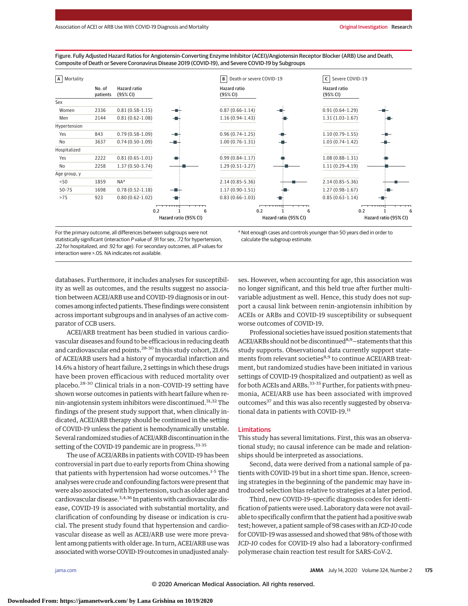Figure. Fully Adjusted Hazard Ratios for Angiotensin-Converting Enzyme Inhibitor (ACEI)/Angiotensin Receptor Blocker (ARB) Use and Death, Composite of Death or Severe Coronavirus Disease 2019 (COVID-19), and Severe COVID-19 by Subgroups



For the primary outcome, all differences between subgroups were not statistically significant (interaction P value of .91 for sex, .72 for hypertension, .22 for hospitalized, and .92 for age). For secondary outcomes, all P values for interaction were >.05. NA indicates not available.

<sup>a</sup> Not enough cases and controls younger than 50 years died in order to calculate the subgroup estimate.

databases. Furthermore, it includes analyses for susceptibility as well as outcomes, and the results suggest no association between ACEI/ARB use and COVID-19 diagnosis or in outcomes among infected patients. These findings were consistent across important subgroups and in analyses of an active comparator of CCB users.

ACEI/ARB treatment has been studied in various cardiovascular diseases and found to be efficacious in reducing death and cardiovascular end points.28-30 In this study cohort, 21.6% of ACEI/ARB users had a history of myocardial infarction and 14.6% a history of heart failure, 2 settings in which these drugs have been proven efficacious with reduced mortality over placebo.28-30 Clinical trials in a non–COVID-19 setting have shown worse outcomes in patients with heart failure when renin-angiotensin system inhibitors were discontinued.<sup>31,32</sup> The findings of the present study support that, when clinically indicated, ACEI/ARB therapy should be continued in the setting of COVID-19 unless the patient is hemodynamically unstable. Several randomized studies of ACEI/ARB discontinuation in the setting of the COVID-19 pandemic are in progress.<sup>33-35</sup>

The use of ACEI/ARBs in patients with COVID-19 has been controversial in part due to early reports from China showing that patients with hypertension had worse outcomes.1-5 The analyses were crude and confounding factors were present that were also associated with hypertension, such as older age and cardiovascular disease.3,4,36 In patientswith cardiovascular disease, COVID-19 is associated with substantial mortality, and clarification of confounding by disease or indication is crucial. The present study found that hypertension and cardiovascular disease as well as ACEI/ARB use were more prevalent among patients with older age. In turn, ACEI/ARB use was associated with worse COVID-19 outcomes in unadjusted analy-

ses. However, when accounting for age, this association was no longer significant, and this held true after further multivariable adjustment as well. Hence, this study does not support a causal link between renin-angiotensin inhibition by ACEIs or ARBs and COVID-19 susceptibility or subsequent worse outcomes of COVID-19.

Professional societies have issued position statements that ACEI/ARBs should not be discontinued<sup>8,9</sup>-statements that this study supports. Observational data currently support statements from relevant societies<sup>8,9</sup> to continue ACEI/ARB treatment, but randomized studies have been initiated in various settings of COVID-19 (hospitalized and outpatient) as well as for both ACEIs and ARBs.<sup>33-35</sup> Further, for patients with pneumonia, ACEI/ARB use has been associated with improved outcomes<sup>37</sup> and this was also recently suggested by observational data in patients with COVID-19.<sup>11</sup>

#### Limitations

This study has several limitations. First, this was an observational study; no causal inference can be made and relationships should be interpreted as associations.

Second, data were derived from a national sample of patients with COVID-19 but in a short time span. Hence, screening strategies in the beginning of the pandemic may have introduced selection bias relative to strategies at a later period.

Third, new COVID-19–specific diagnosis codes for identification of patients were used. Laboratory data were not available to specifically confirm that the patient had a positive swab test; however, a patient sample of 98 cases with an*ICD-10*code for COVID-19 was assessed and showed that 98% of those with *ICD-10* codes for COVID-19 also had a laboratory-confirmed polymerase chain reaction test result for SARS-CoV-2.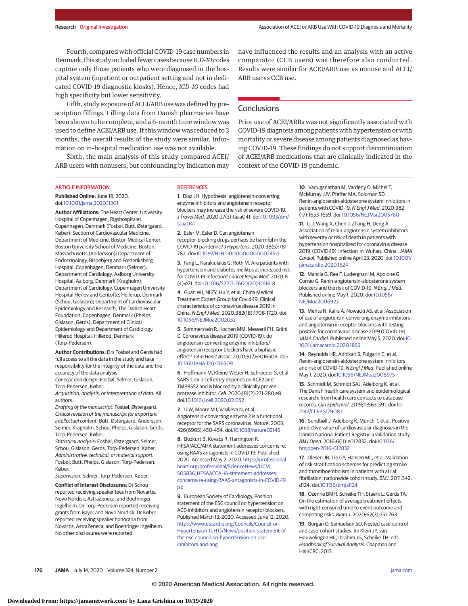Fourth, compared with official COVID-19 case numbers in Denmark, this study included fewer cases because*ICD-10*codes capture only those patients who were diagnosed in the hospital system (inpatient or outpatient setting and not in dedicated COVID-19 diagnostic kiosks). Hence, *ICD-10* codes had high specificity but lower sensitivity.

Fifth, study exposure of ACEI/ARB use was defined by prescription fillings. Filling data from Danish pharmacies have been shown to be complete, and a 6-month time window was used to define ACEI/ARB use. If this window was reduced to 3 months, the overall results of the study were similar. Information on in-hospital medication use was not available.

Sixth, the main analysis of this study compared ACEI/ ARB users with nonusers, but confounding by indication may have influenced the results and an analysis with an active comparator (CCB users) was therefore also conducted. Results were similar for ACEI/ARB use vs nonuse and ACEI/ ARB use vs CCB use.

# **Conclusions**

Prior use of ACEI/ARBs was not significantly associated with COVID-19 diagnosis among patients with hypertension or with mortality or severe disease among patients diagnosed as having COVID-19. These findings do not support discontinuation of ACEI/ARB medications that are clinically indicated in the context of the COVID-19 pandemic.

#### ARTICLE INFORMATION

**Published Online:** June 19, 2020. doi[:10.1001/jama.2020.11301](https://jamanetwork.com/journals/jama/fullarticle/10.1001/jama.2020.11301?utm_campaign=articlePDF%26utm_medium=articlePDFlink%26utm_source=articlePDF%26utm_content=jama.2020.11301)

**Author Affiliations:** The Heart Center, University Hospital of Copenhagen, Rigshospitalet, Copenhagen, Denmark (Fosbøl, Butt, Østergaard, Køber); Section of Cardiovascular Medicine, Department of Medicine, Boston Medical Center, Boston University School of Medicine, Boston, Massachusetts (Andersson); Department of Endocrinology, Bispebjerg and Frederiksberg Hospital, Copenhagen, Denmark (Selmer); Department of Cardiology, Aalborg University Hospital, Aalborg, Denmark (Kragholm); Department of Cardiology, Copenhagen University Hospital Herlev and Gentofte, Hellerup, Denmark (Schou, Gislason); Department of Cardiovascular Epidemiology and Research, The Danish Heart Foundation, Copenhagen, Denmark (Phelps, Gislason, Gerds); Department of Clinical Epidemiology and Department of Cardiology, Hillerød Hospital, Hillerød, Denmark (Torp-Pedersen).

**Author Contributions:** Drs Fosbøl and Gerds had full access to all the data in the study and take responsibility for the integrity of the data and the accuracy of the data analysis.

Concept and design: Fosbøl, Selmer, Gislason, Torp-Pedersen, Køber.

Acquisition, analysis, or interpretation of data: All authors.

Drafting of the manuscript: Fosbøl, Østergaard. Critical revision of the manuscript for important intellectual content: Butt, Østergaard, Andersson, Selmer, Kragholm, Schou, Phelps, Gislason, Gerds, Torp-Pedersen, Køber.

Statistical analysis: Fosbøl, Østergaard, Selmer, Schou, Gislason, Gerds, Torp-Pedersen, Køber. Administrative, technical, or material support: Fosbøl, Butt, Phelps, Gislason, Torp-Pedersen, Køber.

Supervision: Selmer, Torp-Pedersen, Køber.

**Conflict of Interest Disclosures:** Dr Schou reported receiving speaker fees from Novartis, Novo Nordisk, AstraZeneca, and Boehringer Ingelheim. Dr Torp-Pedersen reported receiving grants from Bayer and Novo Nordisk. Dr Køber reported receiving speaker honoraria from Novartis, AstraZeneca, and Boehringer Ingelheim. No other disclosures were reported.

#### **REFERENCES**

**1**. Diaz JH. Hypothesis: angiotensin-converting enzyme inhibitors and angiotensin receptor blockers may increase the risk of severe COVID-19. J Travel Med. 2020;27(3):taaa041. doi[:10.1093/jtm/](https://dx.doi.org/10.1093/jtm/taaa041) [taaa041](https://dx.doi.org/10.1093/jtm/taaa041)

**2**. Esler M, Esler D. Can angiotensin receptor-blocking drugs perhaps be harmful in the COVID-19 pandemic? J Hypertens. 2020;38(5):781- 782. doi[:10.1097/HJH.0000000000002450](https://dx.doi.org/10.1097/HJH.0000000000002450)

**3**. Fang L, Karakiulakis G, Roth M. Are patients with hypertension and diabetes mellitus at increased risk for COVID-19 infection? Lancet Respir Med. 2020;8 (4):e21. doi[:10.1016/S2213-2600\(20\)30116-8](https://dx.doi.org/10.1016/S2213-2600(20)30116-8)

**4**. Guan WJ, Ni ZY, Hu Y, et al; China Medical Treatment Expert Group for Covid-19. Clinical characteristics of coronavirus disease 2019 in China. N Engl J Med. 2020;382(18):1708-1720. doi: [10.1056/NEJMoa2002032](https://dx.doi.org/10.1056/NEJMoa2002032)

**5**. Sommerstein R, Kochen MM, Messerli FH, Gräni C. Coronavirus disease 2019 (COVID-19): do angiotensin-converting enzyme inhibitors/ angiotensin receptor blockers have a biphasic effect? J Am Heart Assoc. 2020;9(7):e016509. doi: [10.1161/JAHA.120.016509](https://dx.doi.org/10.1161/JAHA.120.016509)

**6**. Hoffmann M, Kleine-Weber H, Schroeder S, et al. SARS-CoV-2 cell entry depends on ACE2 and TMPRSS2 and is blocked by a clinically proven protease inhibitor. Cell. 2020;181(2):271-280.e8. doi[:10.1016/j.cell.2020.02.052](https://dx.doi.org/10.1016/j.cell.2020.02.052)

**7**. Li W, Moore MJ, Vasilieva N, et al. Angiotensin-converting enzyme 2 is a functional receptor for the SARS coronavirus. Nature. 2003; 426(6965):450-454. doi[:10.1038/nature02145](https://dx.doi.org/10.1038/nature02145)

**8**. Bozkurt B, Kovacs R, Harrington R. HFSA/ACC/AHA statement addresses concerns re: using RAAS antagonists in COVID-19. Published 2020. Accessed May 2, 2020. [https://professional.](https://professional.heart.org/professional/ScienceNews/UCM_505836_HFSAACCAHA-statement-addresses-concerns-re-using-RAAS-antagonists-in-COVID-19.jsp) [heart.org/professional/ScienceNews/UCM\\_](https://professional.heart.org/professional/ScienceNews/UCM_505836_HFSAACCAHA-statement-addresses-concerns-re-using-RAAS-antagonists-in-COVID-19.jsp) [505836\\_HFSAACCAHA-statement-addresses](https://professional.heart.org/professional/ScienceNews/UCM_505836_HFSAACCAHA-statement-addresses-concerns-re-using-RAAS-antagonists-in-COVID-19.jsp)[concerns-re-using-RAAS-antagonists-in-COVID-19.](https://professional.heart.org/professional/ScienceNews/UCM_505836_HFSAACCAHA-statement-addresses-concerns-re-using-RAAS-antagonists-in-COVID-19.jsp) [jsp](https://professional.heart.org/professional/ScienceNews/UCM_505836_HFSAACCAHA-statement-addresses-concerns-re-using-RAAS-antagonists-in-COVID-19.jsp)

**9**. European Society of Cardiology. Position statement of the ESC council on hypertension on ACE-inhibitors and angiotensin receptor blockers. Published March 13, 2020. Accessed June 12, 2020. [https://www.escardio.org/Councils/Council-on-](https://www.escardio.org/Councils/Council-on-Hypertension-(CHT)/News/position-statement-of-the-esc-council-on-hypertension-on-ace-inhibitors-and-ang)[Hypertension-\(CHT\)/News/position-statement-of](https://www.escardio.org/Councils/Council-on-Hypertension-(CHT)/News/position-statement-of-the-esc-council-on-hypertension-on-ace-inhibitors-and-ang)[the-esc-council-on-hypertension-on-ace](https://www.escardio.org/Councils/Council-on-Hypertension-(CHT)/News/position-statement-of-the-esc-council-on-hypertension-on-ace-inhibitors-and-ang)[inhibitors-and-ang](https://www.escardio.org/Councils/Council-on-Hypertension-(CHT)/News/position-statement-of-the-esc-council-on-hypertension-on-ace-inhibitors-and-ang)

**10**. Vaduganathan M, Vardeny O, Michel T, McMurray JJV, Pfeffer MA, Solomon SD. Renin-angiotensin-aldosterone system inhibitors in patients with COVID-19. N Engl J Med. 2020;382 (17):1653-1659. doi[:10.1056/NEJMsr2005760](https://dx.doi.org/10.1056/NEJMsr2005760)

**11**. Li J, Wang X, Chen J, Zhang H, Deng A. Association of renin-angiotensin system inhibitors with severity or risk of death in patients with hypertension hospitalized for coronavirus disease 2019 (COVID-19) infection in Wuhan, China. JAMA Cardiol. Published online April 23, 2020. doi[:10.1001/](https://jamanetwork.com/journals/jama/fullarticle/10.1001/jamacardio.2020.1624?utm_campaign=articlePDF%26utm_medium=articlePDFlink%26utm_source=articlePDF%26utm_content=jama.2020.11301) [jamacardio.2020.1624](https://jamanetwork.com/journals/jama/fullarticle/10.1001/jamacardio.2020.1624?utm_campaign=articlePDF%26utm_medium=articlePDFlink%26utm_source=articlePDF%26utm_content=jama.2020.11301)

**12**. Mancia G, Rea F, Ludergnani M, Apolone G, Corrao G. Renin-angiotensin-aldosterone system blockers and the risk of COVID-19. N Engl J Med. Published online May 1, 2020. doi[:10.1056/](https://dx.doi.org/10.1056/NEJMoa2006923) [NEJMoa2006923](https://dx.doi.org/10.1056/NEJMoa2006923)

**13**. Mehta N, Kalra A, Nowacki AS, et al. Association of use of angiotensin-converting enzyme inhibitors and angiotensin ii receptor blockers with testing positive for coronavirus disease 2019 (COVID-19). JAMA Cardiol. Published online May 5, 2020. doi[:10.](https://jamanetwork.com/journals/jama/fullarticle/10.1001/jamacardio.2020.1855?utm_campaign=articlePDF%26utm_medium=articlePDFlink%26utm_source=articlePDF%26utm_content=jama.2020.11301) [1001/jamacardio.2020.1855](https://jamanetwork.com/journals/jama/fullarticle/10.1001/jamacardio.2020.1855?utm_campaign=articlePDF%26utm_medium=articlePDFlink%26utm_source=articlePDF%26utm_content=jama.2020.11301)

**14**. Reynolds HR, Adhikari S, Pulgarin C, et al. Renin-angiotensin-aldosterone system inhibitors and risk of COVID-19. N Engl J Med. Published online May 1, 2020. doi[:10.1056/NEJMoa2008975](https://dx.doi.org/10.1056/NEJMoa2008975)

**15**. Schmidt M, Schmidt SAJ, Adelborg K, et al. The Danish health care system and epidemiological research: from health care contacts to database records. Clin Epidemiol. 2019;11:563-591. doi[:10.](https://dx.doi.org/10.2147/CLEP.S179083) [2147/CLEP.S179083](https://dx.doi.org/10.2147/CLEP.S179083)

**16**. Sundbøll J, Adelborg K, Munch T, et al. Positive predictive value of cardiovascular diagnoses in the Danish National Patient Registry: a validation study. BMJ Open. 2016;6(11):e012832. doi[:10.1136/](https://dx.doi.org/10.1136/bmjopen-2016-012832) [bmjopen-2016-012832](https://dx.doi.org/10.1136/bmjopen-2016-012832)

**17**. Olesen JB, Lip GY, Hansen ML, et al. Validation of risk stratification schemes for predicting stroke and thromboembolism in patients with atrial fibrillation: nationwide cohort study. BMJ. 2011;342: d124. doi[:10.1136/bmj.d124](https://dx.doi.org/10.1136/bmj.d124)

**18**. Ozenne BMH, Scheike TH, Staerk L, Gerds TA. On the estimation of average treatment effects with right-censored time to event outcome and competing risks. Biom J. 2020;62(3):751-763.

**19**. Borgan O, Samuelsen SO. Nested case-control and case-cohort studies. In: Klein JP, van Houwelingen HC, Ibrahim JG, Scheike TH, eds. Handbook of Survival Analysis. Chapman and Hall/CRC; 2013.